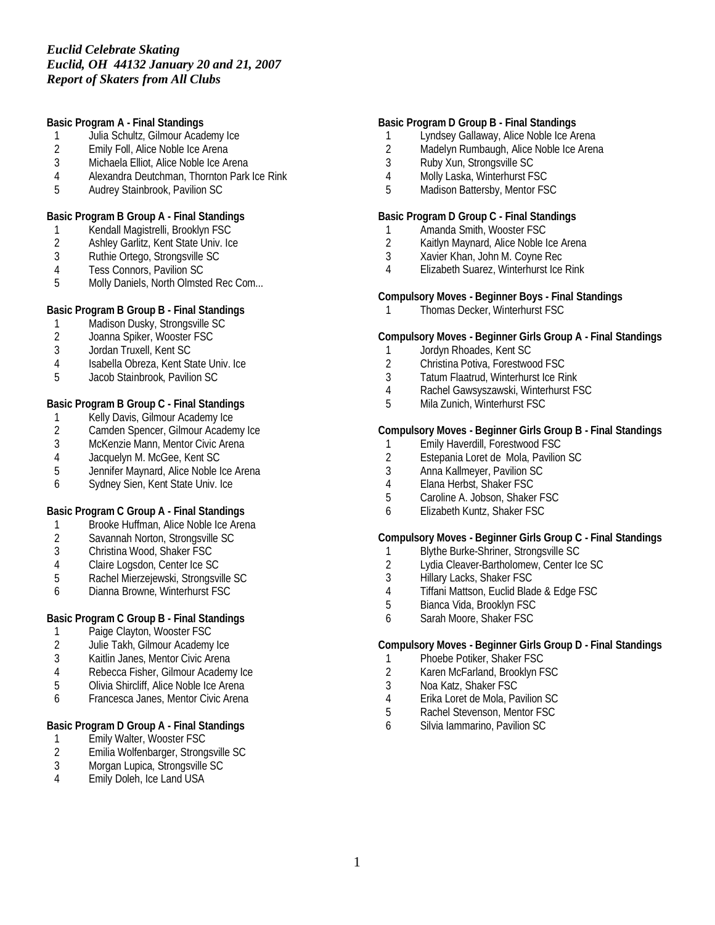**Basic Program A - Final Standings**

- 1 Julia Schultz, Gilmour Academy Ice<br>2 Emily Foll, Alice Noble Ice Arena
- 2 Emily Foll, Alice Noble Ice Arena<br>3 Michaela Elliot. Alice Noble Ice Ar
- Michaela Elliot, Alice Noble Ice Arena
- 4 Alexandra Deutchman, Thornton Park Ice Rink<br>5 Audrey Stainbrook. Pavilion SC
- 5 Audrey Stainbrook, Pavilion SC

**Basic Program B Group A - Final Standings**

- 1 Kendall Magistrelli, Brooklyn FSC
- 2 Ashley Garlitz, Kent State Univ. Ice
- 3 Ruthie Ortego, Strongsville SC<br>4 Tess Connors, Pavilion SC
- 4 Tess Connors, Pavilion SC<br>5 Molly Daniels. North Olmste
- Molly Daniels, North Olmsted Rec Com...

**Basic Program B Group B - Final Standings**

- 1 Madison Dusky, Strongsville SC<br>2 Joanna Spiker, Wooster FSC
- 2 Joanna Spiker, Wooster FSC<br>3 Jordan Truxell. Kent SC
- 3 Jordan Truxell, Kent SC
- 4 Isabella Obreza, Kent State Univ. Ice
- 5 Jacob Stainbrook, Pavilion SC

**Basic Program B Group C - Final Standings**

- 1 Kelly Davis, Gilmour Academy Ice<br>2 Camden Spencer, Gilmour Academ
- Camden Spencer, Gilmour Academy Ice
- 3 McKenzie Mann, Mentor Civic Arena<br>4 Jacquelyn M. McGee, Kent SC
- 4 Jacquelyn M. McGee, Kent SC<br>5 Jennifer Maynard. Alice Noble I
- Jennifer Maynard, Alice Noble Ice Arena
- 6 Sydney Sien, Kent State Univ. Ice

**Basic Program C Group A - Final Standings**

- 1 Brooke Huffman, Alice Noble Ice Arena
- 2 Savannah Norton, Strongsville SC
- 3 Christina Wood, Shaker FSC
- 4 Claire Logsdon, Center Ice SC
- 5 Rachel Mierzejewski, Strongsville SC
- 6 Dianna Browne, Winterhurst FSC

**Basic Program C Group B - Final Standings**

- 1 Paige Clayton, Wooster FSC<br>2 Julie Takh, Gilmour Academy
- 2 Julie Takh, Gilmour Academy Ice<br>3 Kaitlin Janes, Mentor Civic Arena
- Kaitlin Janes, Mentor Civic Arena
- 4 Rebecca Fisher, Gilmour Academy Ice
- 5 Olivia Shircliff, Alice Noble Ice Arena
- 6 Francesca Janes, Mentor Civic Arena

**Basic Program D Group A - Final Standings**

- 1 Emily Walter, Wooster FSC<br>2 Emilia Wolfenbarger, Strong
- 2 Emilia Wolfenbarger, Strongsville SC<br>3 Morgan Lupica, Strongsville SC
- 3 Morgan Lupica, Strongsville SC<br>4 Emily Doleh, Ice Land USA
- 4 Emily Doleh, Ice Land USA

#### **Basic Program D Group B - Final Standings**

- 1 Lyndsey Gallaway, Alice Noble Ice Arena<br>2 Madelyn Rumbaugh, Alice Noble Ice Aren
- 2 Madelyn Rumbaugh, Alice Noble Ice Arena<br>3 Ruby Xun. Strongsville SC
- 3 Ruby Xun, Strongsville SC
- 4 Molly Laska, Winterhurst FSC
- 5 Madison Battersby, Mentor FSC

**Basic Program D Group C - Final Standings**

- 1 Amanda Smith, Wooster FSC
- 2 Kaitlyn Maynard, Alice Noble Ice Arena
- 3 Xavier Khan, John M. Coyne Rec
- 4 Elizabeth Suarez, Winterhurst Ice Rink

**Compulsory Moves - Beginner Boys - Final Standings**

1 Thomas Decker, Winterhurst FSC

**Compulsory Moves - Beginner Girls Group A - Final Standings**

- 1 Jordyn Rhoades, Kent SC
- 2 Christina Potiva, Forestwood FSC
- 3 Tatum Flaatrud, Winterhurst Ice Rink
- 4 Rachel Gawsyszawski, Winterhurst FSC
- 5 Mila Zunich, Winterhurst FSC

**Compulsory Moves - Beginner Girls Group B - Final Standings**

- 1 Emily Haverdill, Forestwood FSC<br>2 Estepania Loret de Mola, Pavilion
- 2 Estepania Loret de Mola, Pavilion SC<br>3 Anna Kallmever. Pavilion SC
- 3 Anna Kallmeyer, Pavilion SC
- 4 Elana Herbst, Shaker FSC
- 5 Caroline A. Jobson, Shaker FSC
- 6 Elizabeth Kuntz, Shaker FSC

**Compulsory Moves - Beginner Girls Group C - Final Standings**

- 1 Blythe Burke-Shriner, Strongsville SC
- 2 Lydia Cleaver-Bartholomew, Center Ice SC
- 3 Hillary Lacks, Shaker FSC
- 4 Tiffani Mattson, Euclid Blade & Edge FSC
- 5 Bianca Vida, Brooklyn FSC
- 6 Sarah Moore, Shaker FSC

**Compulsory Moves - Beginner Girls Group D - Final Standings**

- 1 Phoebe Potiker, Shaker FSC
- 2 Karen McFarland, Brooklyn FSC
- 3 Noa Katz, Shaker FSC
- 4 Erika Loret de Mola, Pavilion SC
- 5 Rachel Stevenson, Mentor FSC
- 6 Silvia Iammarino, Pavilion SC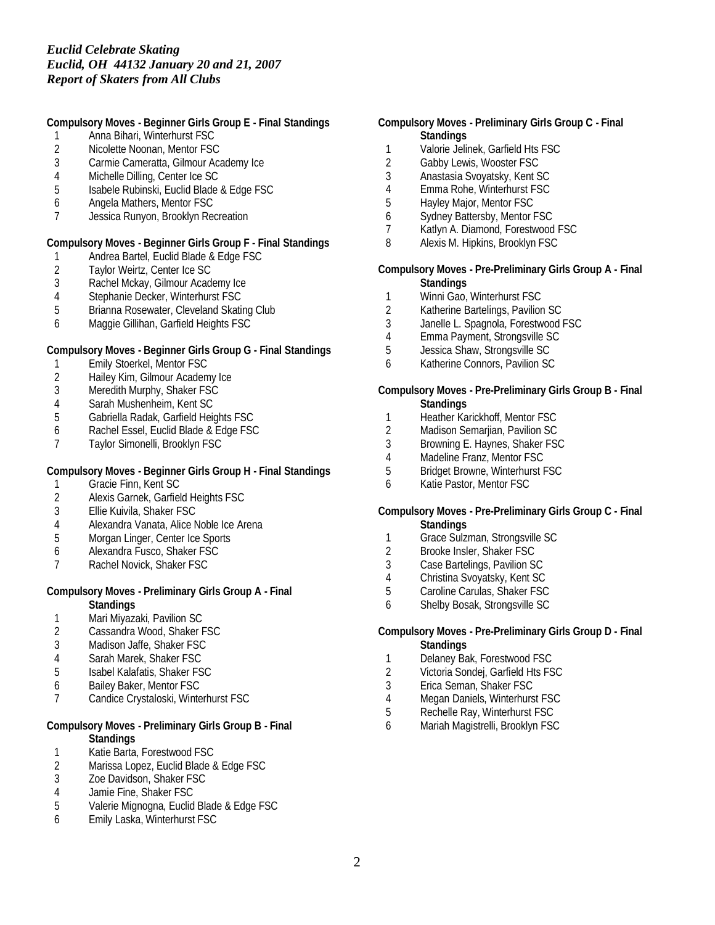**Compulsory Moves - Beginner Girls Group E - Final Standings**

- 1 Anna Bihari, Winterhurst FSC
- 2 Nicolette Noonan, Mentor FSC<br>3 Carmie Cameratta. Gilmour Aca
- Carmie Cameratta, Gilmour Academy Ice
- 4 Michelle Dilling, Center Ice SC<br>5 Isabele Rubinski, Euclid Blade
- 5 Isabele Rubinski, Euclid Blade & Edge FSC
- 6 Angela Mathers, Mentor FSC
- 7 Jessica Runyon, Brooklyn Recreation

**Compulsory Moves - Beginner Girls Group F - Final Standings**

- 1 Andrea Bartel, Euclid Blade & Edge FSC<br>2 Taylor Weirtz, Center Ice SC
- 2 Taylor Weirtz, Center Ice SC<br>3 Rachel Mckay, Gilmour Acad
- Rachel Mckay, Gilmour Academy Ice
- 4 Stephanie Decker, Winterhurst FSC
- 5 Brianna Rosewater, Cleveland Skating Club
- 6 Maggie Gillihan, Garfield Heights FSC

**Compulsory Moves - Beginner Girls Group G - Final Standings**

- 1 Emily Stoerkel, Mentor FSC<br>2 Hailey Kim, Gilmour Academ
- Hailey Kim, Gilmour Academy Ice
- 3 Meredith Murphy, Shaker FSC
- 4 Sarah Mushenheim, Kent SC
- 5 Gabriella Radak, Garfield Heights FSC
- 6 Rachel Essel, Euclid Blade & Edge FSC
- 7 Taylor Simonelli, Brooklyn FSC

**Compulsory Moves - Beginner Girls Group H - Final Standings**

- 1 Gracie Finn, Kent SC
- 2 Alexis Garnek, Garfield Heights FSC<br>3 Ellie Kuivila, Shaker FSC
- Ellie Kuivila, Shaker FSC
- 4 Alexandra Vanata, Alice Noble Ice Arena
- 5 Morgan Linger, Center Ice Sports
- 6 Alexandra Fusco, Shaker FSC
- 7 Rachel Novick, Shaker FSC

#### **Compulsory Moves - Preliminary Girls Group A - Final Standings**

- 
- 1 Mari Miyazaki, Pavilion SC<br>2 Cassandra Wood, Shaker F 2 Cassandra Wood, Shaker FSC
- 3 Madison Jaffe, Shaker FSC
- 4 Sarah Marek, Shaker FSC
- 5 Isabel Kalafatis, Shaker FSC
- 6 Bailey Baker, Mentor FSC
- 7 Candice Crystaloski, Winterhurst FSC

#### **Compulsory Moves - Preliminary Girls Group B - Final Standings**

- 
- 1 Katie Barta, Forestwood FSC<br>2 Marissa Lopez, Euclid Blade & 2 Marissa Lopez, Euclid Blade & Edge FSC<br>3 Zoe Davidson. Shaker FSC
- Zoe Davidson, Shaker FSC
- 4 Jamie Fine, Shaker FSC
- 5 Valerie Mignogna, Euclid Blade & Edge FSC
- 6 Emily Laska, Winterhurst FSC
- **Compulsory Moves Preliminary Girls Group C Final Standings**
	- 1 Valorie Jelinek, Garfield Hts FSC<br>2 Gabby Lewis. Wooster FSC
	- Gabby Lewis, Wooster FSC
	- 3 Anastasia Svoyatsky, Kent SC
	- 4 Emma Rohe, Winterhurst FSC<br>5 Havlev Maior. Mentor FSC
	- 5 Hayley Major, Mentor FSC
	- 6 Sydney Battersby, Mentor FSC
	- 7 Katlyn A. Diamond, Forestwood FSC
	- 8 Alexis M. Hipkins, Brooklyn FSC

**Compulsory Moves - Pre-Preliminary Girls Group A - Final Standings**

- 1 Winni Gao, Winterhurst FSC
- 2 Katherine Bartelings, Pavilion SC
- 3 Janelle L. Spagnola, Forestwood FSC
- 4 Emma Payment, Strongsville SC
- 5 Jessica Shaw, Strongsville SC
- 6 Katherine Connors, Pavilion SC
- **Compulsory Moves Pre-Preliminary Girls Group B Final Standings**
- 1 Heather Karickhoff, Mentor FSC<br>2 Madison Semarjian, Pavilion SC
- Madison Semarjian, Pavilion SC
- 3 Browning E. Haynes, Shaker FSC
- 4 Madeline Franz, Mentor FSC<br>5 Bridget Browne, Winterhurst F
- 5 Bridget Browne, Winterhurst FSC
- 6 Katie Pastor, Mentor FSC
- **Compulsory Moves Pre-Preliminary Girls Group C Final Standings**
- 1 Grace Sulzman, Strongsville SC
- 2 Brooke Insler, Shaker FSC
- 3 Case Bartelings, Pavilion SC
- 4 Christina Svoyatsky, Kent SC<br>5 Caroline Carulas, Shaker FSC
- 5 Caroline Carulas, Shaker FSC
- 6 Shelby Bosak, Strongsville SC

**Compulsory Moves - Pre-Preliminary Girls Group D - Final Standings**

- 1 Delaney Bak, Forestwood FSC
- 2 Victoria Sondej, Garfield Hts FSC
- 3 Erica Seman, Shaker FSC
- 4 Megan Daniels, Winterhurst FSC
- 5 Rechelle Ray, Winterhurst FSC
- 6 Mariah Magistrelli, Brooklyn FSC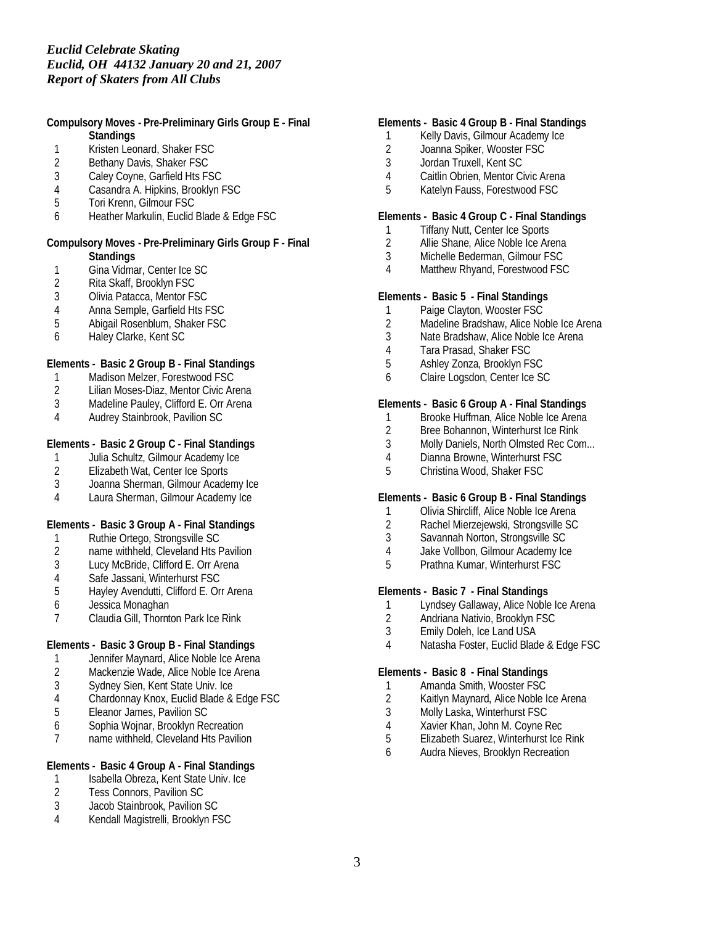**Compulsory Moves - Pre-Preliminary Girls Group E - Final Standings**

- 1 Kristen Leonard, Shaker FSC<br>2 Bethany Davis, Shaker FSC
- Bethany Davis, Shaker FSC
- 3 Caley Coyne, Garfield Hts FSC
- 4 Casandra A. Hipkins, Brooklyn FSC<br>5 Tori Krenn. Gilmour FSC
- 5 Tori Krenn, Gilmour FSC
- 6 Heather Markulin, Euclid Blade & Edge FSC

#### **Compulsory Moves - Pre-Preliminary Girls Group F - Final Standings**

- 1 Gina Vidmar, Center Ice SC<br>2 Rita Skaff, Brooklyn FSC
- 2 Rita Skaff, Brooklyn FSC<br>3 Olivia Patacca, Mentor FS
- 3 Olivia Patacca, Mentor FSC
- 
- 4 Anna Semple, Garfield Hts FSC<br>5 Abigail Rosenblum, Shaker FSC 5 Abigail Rosenblum, Shaker FSC
- 6 Haley Clarke, Kent SC

**Elements - Basic 2 Group B - Final Standings**

- 1 Madison Melzer, Forestwood FSC
- 2 Lilian Moses-Diaz, Mentor Civic Arena
- Madeline Pauley, Clifford E. Orr Arena
- 4 Audrey Stainbrook, Pavilion SC

### **Elements - Basic 2 Group C - Final Standings**

- 1 Julia Schultz, Gilmour Academy Ice<br>2 Elizabeth Wat, Center Ice Sports
- 2 Elizabeth Wat, Center Ice Sports<br>3 Joanna Sherman, Gilmour Acader
- 3 Joanna Sherman, Gilmour Academy Ice
- 4 Laura Sherman, Gilmour Academy Ice

**Elements - Basic 3 Group A - Final Standings**

- 1 Ruthie Ortego, Strongsville SC
- 2 name withheld, Cleveland Hts Pavilion
- 3 Lucy McBride, Clifford E. Orr Arena
- 
- 4 Safe Jassani, Winterhurst FSC<br>5 Hayley Avendutti, Clifford E. Ori 5 Hayley Avendutti, Clifford E. Orr Arena
- 6 Jessica Monaghan
- 7 Claudia Gill, Thornton Park Ice Rink

**Elements - Basic 3 Group B - Final Standings**

- 
- 1 Jennifer Maynard, Alice Noble Ice Arena<br>2 Mackenzie Wade, Alice Noble Ice Arena Mackenzie Wade, Alice Noble Ice Arena
- 3 Sydney Sien, Kent State Univ. Ice
- 4 Chardonnay Knox, Euclid Blade & Edge FSC
- 5 Eleanor James, Pavilion SC
- 
- 6 Sophia Wojnar, Brooklyn Recreation name withheld, Cleveland Hts Pavilion

### **Elements - Basic 4 Group A - Final Standings**

- 1 Isabella Obreza, Kent State Univ. Ice<br>2 Tess Connors. Pavilion SC
- 2 Tess Connors, Pavilion SC
- 3 Jacob Stainbrook, Pavilion SC
- 4 Kendall Magistrelli, Brooklyn FSC

### **Elements - Basic 4 Group B - Final Standings**

- 1 Kelly Davis, Gilmour Academy Ice<br>2 Joanna Spiker, Wooster FSC
- 2 Joanna Spiker, Wooster FSC<br>3 Jordan Truxell. Kent SC
- 3 Jordan Truxell, Kent SC
- 4 Caitlin Obrien, Mentor Civic Arena
- 5 Katelyn Fauss, Forestwood FSC

### **Elements - Basic 4 Group C - Final Standings**

- 1 Tiffany Nutt, Center Ice Sports
- 2 Allie Shane, Alice Noble Ice Arena
- 3 Michelle Bederman, Gilmour FSC
- 4 Matthew Rhyand, Forestwood FSC

**Elements - Basic 5 - Final Standings**

- 1 Paige Clayton, Wooster FSC<br>2 Madeline Bradshaw, Alice No
- Madeline Bradshaw, Alice Noble Ice Arena
- 3 Nate Bradshaw, Alice Noble Ice Arena
- 4 Tara Prasad, Shaker FSC
- 5 Ashley Zonza, Brooklyn FSC
- 6 Claire Logsdon, Center Ice SC

**Elements - Basic 6 Group A - Final Standings**

- 1 Brooke Huffman, Alice Noble Ice Arena<br>2 Bree Bohannon, Winterhurst Ice Rink
- 2 Bree Bohannon, Winterhurst Ice Rink
- 3 Molly Daniels, North Olmsted Rec Com...
- 4 Dianna Browne, Winterhurst FSC<br>5 Christina Wood, Shaker FSC
- 5 Christina Wood, Shaker FSC

**Elements - Basic 6 Group B - Final Standings**

- 1 Olivia Shircliff, Alice Noble Ice Arena<br>2 Rachel Mierzeiewski, Strongsville SC
- 2 Rachel Mierzejewski, Strongsville SC
- 3 Savannah Norton, Strongsville SC
- 4 Jake Vollbon, Gilmour Academy Ice
- 5 Prathna Kumar, Winterhurst FSC

**Elements - Basic 7 - Final Standings**

- 1 Lyndsey Gallaway, Alice Noble Ice Arena
- 2 Andriana Nativio, Brooklyn FSC
- 3 Emily Doleh, Ice Land USA
- 4 Natasha Foster, Euclid Blade & Edge FSC

**Elements - Basic 8 - Final Standings**

- 1 Amanda Smith, Wooster FSC<br>2 Kaitlyn Maynard, Alice Noble I
- Kaitlyn Maynard, Alice Noble Ice Arena
- 3 Molly Laska, Winterhurst FSC
- 4 Xavier Khan, John M. Coyne Rec<br>5 Elizabeth Suarez. Winterhurst Ice
- 5 Elizabeth Suarez, Winterhurst Ice Rink
- 6 Audra Nieves, Brooklyn Recreation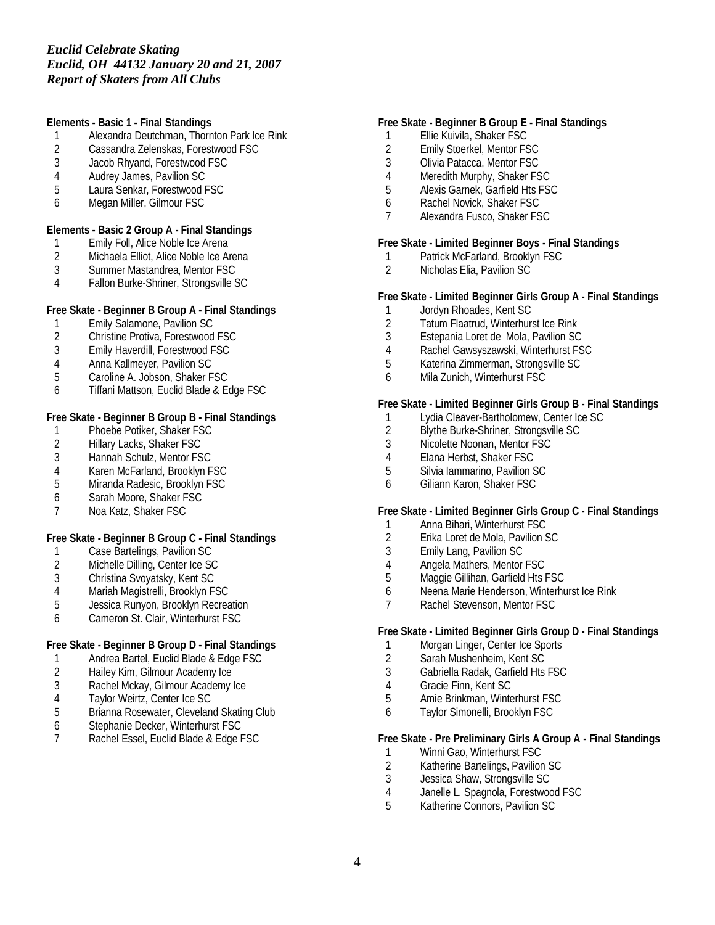**Elements - Basic 1 - Final Standings**

- 1 Alexandra Deutchman, Thornton Park Ice Rink<br>2 Cassandra Zelenskas, Forestwood FSC
- 2 Cassandra Zelenskas, Forestwood FSC<br>3 Jacob Rhvand. Forestwood FSC
- Jacob Rhyand, Forestwood FSC
- 4 Audrey James, Pavilion SC<br>5 Laura Senkar, Forestwood F
- 5 Laura Senkar, Forestwood FSC
- 6 Megan Miller, Gilmour FSC

**Elements - Basic 2 Group A - Final Standings**

- 1 Emily Foll, Alice Noble Ice Arena
- 2 Michaela Elliot, Alice Noble Ice Arena<br>3 Summer Mastandrea, Mentor FSC
- Summer Mastandrea, Mentor FSC
- 4 Fallon Burke-Shriner, Strongsville SC

**Free Skate - Beginner B Group A - Final Standings**

- 1 Emily Salamone, Pavilion SC<br>2 Christine Protiva, Forestwood
- 2 Christine Protiva, Forestwood FSC<br>3 Emily Haverdill, Forestwood FSC
- 3 Emily Haverdill, Forestwood FSC
- 4 Anna Kallmeyer, Pavilion SC
- 5 Caroline A. Jobson, Shaker FSC
- 6 Tiffani Mattson, Euclid Blade & Edge FSC

**Free Skate - Beginner B Group B - Final Standings**

- 1 Phoebe Potiker, Shaker FSC
- 2 Hillary Lacks, Shaker FSC<br>3 Hannah Schulz, Mentor FS
- 3 Hannah Schulz, Mentor FSC<br>4 Karen McFarland, Brooklyn F
- 4 Karen McFarland, Brooklyn FSC<br>5 Miranda Radesic, Brooklyn FSC
- Miranda Radesic, Brooklyn FSC
- 6 Sarah Moore, Shaker FSC
- 7 Noa Katz, Shaker FSC

**Free Skate - Beginner B Group C - Final Standings**

- 1 Case Bartelings, Pavilion SC
- 2 Michelle Dilling, Center Ice SC
- 3 Christina Svoyatsky, Kent SC
- 4 Mariah Magistrelli, Brooklyn FSC<br>5 Jessica Runvon, Brooklyn Recrea
- 5 Jessica Runyon, Brooklyn Recreation
- 6 Cameron St. Clair, Winterhurst FSC

**Free Skate - Beginner B Group D - Final Standings**

- 1 Andrea Bartel, Euclid Blade & Edge FSC<br>2 Hailey Kim, Gilmour Academy Ice
- 2 Hailey Kim, Gilmour Academy Ice<br>3 Rachel Mckav, Gilmour Academy
- Rachel Mckay, Gilmour Academy Ice
- 4 Taylor Weirtz, Center Ice SC
- 5 Brianna Rosewater, Cleveland Skating Club<br>6 Stephanie Decker, Winterhurst FSC
- 6 Stephanie Decker, Winterhurst FSC<br>7 Rachel Essel. Euclid Blade & Edge F
- 7 Rachel Essel, Euclid Blade & Edge FSC

### **Free Skate - Beginner B Group E - Final Standings**

- 1 Ellie Kuivila, Shaker FSC
- 2 Emily Stoerkel, Mentor FSC<br>3 Olivia Patacca, Mentor FSC
- Olivia Patacca, Mentor FSC
- 4 Meredith Murphy, Shaker FSC<br>5 Alexis Garnek, Garfield Hts FS
- 5 Alexis Garnek, Garfield Hts FSC
- 6 Rachel Novick, Shaker FSC
- 7 Alexandra Fusco, Shaker FSC

**Free Skate - Limited Beginner Boys - Final Standings**

- 1 Patrick McFarland, Brooklyn FSC<br>2 Nicholas Elia, Pavilion SC
- Nicholas Elia, Pavilion SC

**Free Skate - Limited Beginner Girls Group A - Final Standings**

- 1 Jordyn Rhoades, Kent SC<br>2 Tatum Flaatrud. Winterhurs
- Tatum Flaatrud, Winterhurst Ice Rink
- 3 Estepania Loret de Mola, Pavilion SC
- 4 Rachel Gawsyszawski, Winterhurst FSC
- 5 Katerina Zimmerman, Strongsville SC
- 6 Mila Zunich, Winterhurst FSC

**Free Skate - Limited Beginner Girls Group B - Final Standings**

- 1 Lydia Cleaver-Bartholomew, Center Ice SC<br>2 Blythe Burke-Shriner, Strongsville SC
- 2 Blythe Burke-Shriner, Strongsville SC
- 3 Nicolette Noonan, Mentor FSC
- 4 Elana Herbst, Shaker FSC<br>5 Silvia Iammarino, Pavilion S
- Silvia Iammarino, Pavilion SC
- 6 Giliann Karon, Shaker FSC

**Free Skate - Limited Beginner Girls Group C - Final Standings**

- 1 Anna Bihari, Winterhurst FSC
- 2 Erika Loret de Mola, Pavilion SC
- 3 Emily Lang, Pavilion SC
- 4 Angela Mathers, Mentor FSC
- 5 Maggie Gillihan, Garfield Hts FSC
- 6 Neena Marie Henderson, Winterhurst Ice Rink
- 7 Rachel Stevenson, Mentor FSC

**Free Skate - Limited Beginner Girls Group D - Final Standings**

- 1 Morgan Linger, Center Ice Sports
- 2 Sarah Mushenheim, Kent SC
- 3 Gabriella Radak, Garfield Hts FSC
- 4 Gracie Finn, Kent SC
- 5 Amie Brinkman, Winterhurst FSC
- 6 Taylor Simonelli, Brooklyn FSC

**Free Skate - Pre Preliminary Girls A Group A - Final Standings**

- 1 Winni Gao, Winterhurst FSC<br>2 Katherine Bartelings, Pavilior
- 2 Katherine Bartelings, Pavilion SC<br>3 Jessica Shaw, Strongsville SC
- Jessica Shaw, Strongsville SC
- 4 Janelle L. Spagnola, Forestwood FSC
- 5 Katherine Connors, Pavilion SC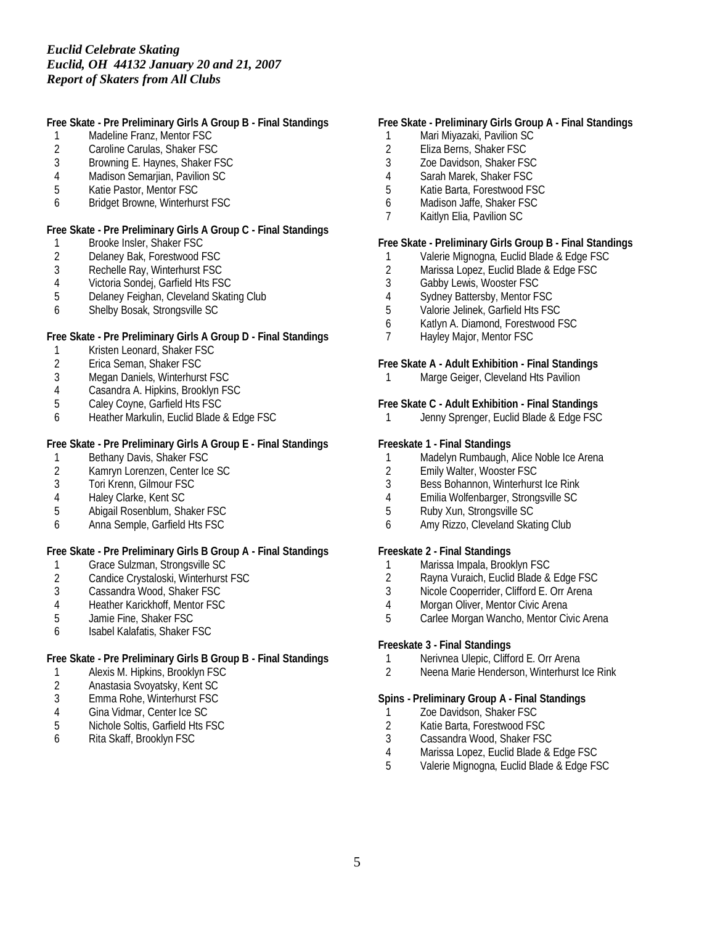**Free Skate - Pre Preliminary Girls A Group B - Final Standings**

- 1 Madeline Franz, Mentor FSC<br>2 Caroline Carulas, Shaker FSC
- 2 Caroline Carulas, Shaker FSC<br>3 Browning E. Havnes. Shaker F
- Browning E. Haynes, Shaker FSC
- 4 Madison Semarjian, Pavilion SC
- 5 Katie Pastor, Mentor FSC
- 6 Bridget Browne, Winterhurst FSC

**Free Skate - Pre Preliminary Girls A Group C - Final Standings**

- 1 Brooke Insler, Shaker FSC
- 2 Delaney Bak, Forestwood FSC<br>3 Rechelle Ray, Winterhurst FSC
- Rechelle Ray, Winterhurst FSC
- 4 Victoria Sondej, Garfield Hts FSC
- 5 Delaney Feighan, Cleveland Skating Club
- 6 Shelby Bosak, Strongsville SC

**Free Skate - Pre Preliminary Girls A Group D - Final Standings**

- 1 Kristen Leonard, Shaker FSC
- 2 Erica Seman, Shaker FSC
- 3 Megan Daniels, Winterhurst FSC
- 4 Casandra A. Hipkins, Brooklyn FSC<br>5 Calev Covne, Garfield Hts FSC
- 5 Caley Coyne, Garfield Hts FSC
- 6 Heather Markulin, Euclid Blade & Edge FSC

**Free Skate - Pre Preliminary Girls A Group E - Final Standings**

- 1 Bethany Davis, Shaker FSC<br>2 Kamryn Lorenzen, Center Ice
- 2 Kamryn Lorenzen, Center Ice SC<br>3 Tori Krenn. Gilmour FSC
- 3 Tori Krenn, Gilmour FSC
- 4 Haley Clarke, Kent SC<br>5 Abigail Rosenblum, Sha
- 5 Abigail Rosenblum, Shaker FSC
- 6 Anna Semple, Garfield Hts FSC

**Free Skate - Pre Preliminary Girls B Group A - Final Standings**

- 
- 1 Grace Sulzman, Strongsville SC<br>2 Candice Crystaloski, Winterhurst 2 Candice Crystaloski, Winterhurst FSC<br>3 Cassandra Wood, Shaker FSC
- Cassandra Wood, Shaker FSC
- 4 Heather Karickhoff, Mentor FSC
- 5 Jamie Fine, Shaker FSC
- 6 Isabel Kalafatis, Shaker FSC

**Free Skate - Pre Preliminary Girls B Group B - Final Standings**

- 1 Alexis M. Hipkins, Brooklyn FSC<br>2 Anastasia Svoyatsky, Kent SC
- 2 Anastasia Svoyatsky, Kent SC
- 3 Emma Rohe, Winterhurst FSC
- 4 Gina Vidmar, Center Ice SC<br>5 Nichole Soltis, Garfield Hts F
- 5 Nichole Soltis, Garfield Hts FSC<br>6 Rita Skaff. Brooklyn FSC
- 6 Rita Skaff, Brooklyn FSC

### **Free Skate - Preliminary Girls Group A - Final Standings**

- 1 Mari Miyazaki, Pavilion SC
- 2 Eliza Berns, Shaker FSC<br>3 Zoe Davidson, Shaker FS
- Zoe Davidson, Shaker FSC
- 4 Sarah Marek, Shaker FSC
- 5 Katie Barta, Forestwood FSC
- 6 Madison Jaffe, Shaker FSC
- 7 Kaitlyn Elia, Pavilion SC

**Free Skate - Preliminary Girls Group B - Final Standings**

- 1 Valerie Mignogna, Euclid Blade & Edge FSC<br>2 Marissa Lopez, Euclid Blade & Edge FSC
- 2 Marissa Lopez, Euclid Blade & Edge FSC<br>3 Gabby Lewis, Wooster FSC
- Gabby Lewis, Wooster FSC
- 4 Sydney Battersby, Mentor FSC
- 5 Valorie Jelinek, Garfield Hts FSC
- 6 Katlyn A. Diamond, Forestwood FSC
- 7 Hayley Major, Mentor FSC

**Free Skate A - Adult Exhibition - Final Standings**

1 Marge Geiger, Cleveland Hts Pavilion

**Free Skate C - Adult Exhibition - Final Standings** 1 Jenny Sprenger, Euclid Blade & Edge FSC

**Freeskate 1 - Final Standings**

- 1 Madelyn Rumbaugh, Alice Noble Ice Arena<br>2 Emily Walter. Wooster FSC
- 2 Emily Walter, Wooster FSC<br>3 Bess Bohannon, Winterhurs
- Bess Bohannon, Winterhurst Ice Rink
- 4 Emilia Wolfenbarger, Strongsville SC<br>5 Ruby Xun. Strongsville SC
- 5 Ruby Xun, Strongsville SC
- 6 Amy Rizzo, Cleveland Skating Club

**Freeskate 2 - Final Standings**

- 1 Marissa Impala, Brooklyn FSC
- 2 Rayna Vuraich, Euclid Blade & Edge FSC<br>3 Nicole Cooperrider, Clifford E. Orr Arena
- Nicole Cooperrider, Clifford E. Orr Arena
- 4 Morgan Oliver, Mentor Civic Arena
- 5 Carlee Morgan Wancho, Mentor Civic Arena

**Freeskate 3 - Final Standings**

- 1 Nerivnea Ulepic, Clifford E. Orr Arena
- 2 Neena Marie Henderson, Winterhurst Ice Rink

**Spins - Preliminary Group A - Final Standings**

- 1 Zoe Davidson, Shaker FSC
- 2 Katie Barta, Forestwood FSC<br>3 Cassandra Wood, Shaker FS
- Cassandra Wood, Shaker FSC
- 
- 4 Marissa Lopez, Euclid Blade & Edge FSC 5 Valerie Mignogna, Euclid Blade & Edge FSC